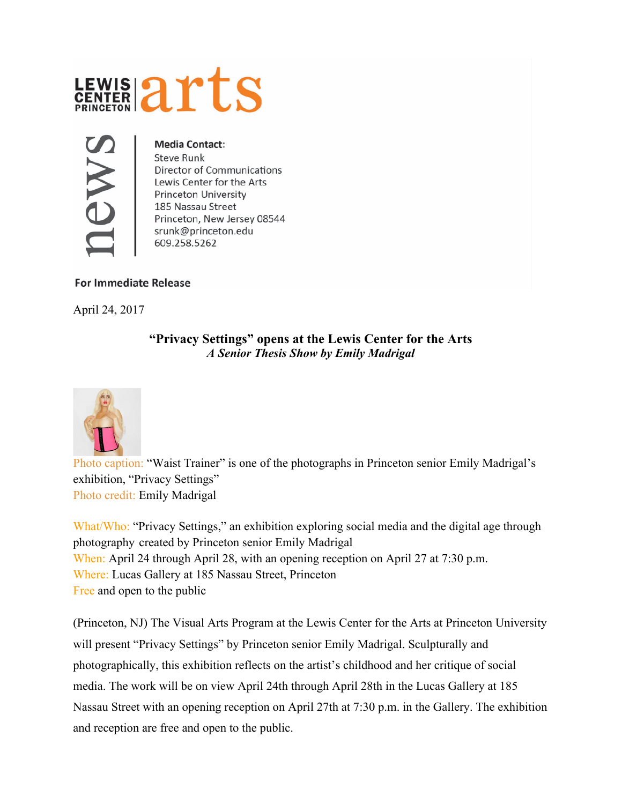



## **Media Contact:**

**Steve Runk** Director of Communications Lewis Center for the Arts **Princeton University** 185 Nassau Street Princeton, New Jersey 08544 srunk@princeton.edu 609.258.5262

## **For Immediate Release**

April 24, 2017

## **"Privacy Settings" opens at the Lewis Center for the Arts** *A Senior Thesis Show by Emily Madrigal*



Photo caption: "Waist Trainer" is one of the photographs in Princeton senior Emily Madrigal's exhibition, "Privacy Settings" Photo credit: Emily Madrigal

What/Who: "Privacy Settings," an exhibition exploring social media and the digital age through photography created by Princeton senior Emily Madrigal When: April 24 through April 28, with an opening reception on April 27 at 7:30 p.m. Where: Lucas Gallery at 185 Nassau Street, Princeton Free and open to the public

(Princeton, NJ) The Visual Arts Program at the Lewis Center for the Arts at Princeton University will present "Privacy Settings" by Princeton senior Emily Madrigal. Sculpturally and photographically, this exhibition reflects on the artist's childhood and her critique of social media. The work will be on view April 24th through April 28th in the Lucas Gallery at 185 Nassau Street with an opening reception on April 27th at 7:30 p.m. in the Gallery. The exhibition and reception are free and open to the public.